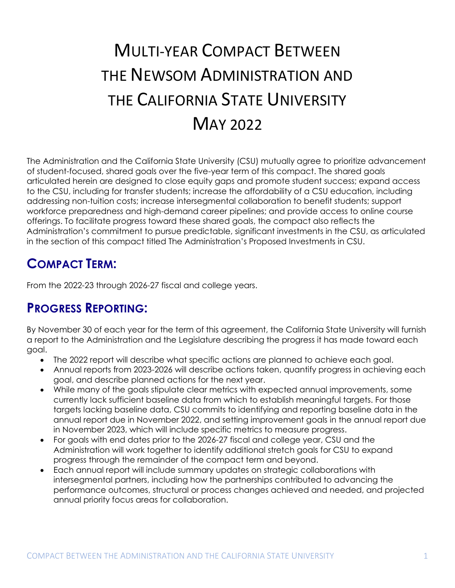# MULTI-YEAR COMPACT BETWEEN THE NEWSOM ADMINISTRATION AND THE CALIFORNIA STATE UNIVERSITY MAY 2022

The Administration and the California State University (CSU) mutually agree to prioritize advancement of student-focused, shared goals over the five-year term of this compact. The shared goals articulated herein are designed to close equity gaps and promote student success; expand access to the CSU, including for transfer students; increase the affordability of a CSU education, including addressing non-tuition costs; increase intersegmental collaboration to benefit students; support workforce preparedness and high-demand career pipelines; and provide access to online course offerings. To facilitate progress toward these shared goals, the compact also reflects the Administration's commitment to pursue predictable, significant investments in the CSU, as articulated in the section of this compact titled The Administration's Proposed Investments in CSU.

## **COMPACT TERM:**

From the 2022-23 through 2026-27 fiscal and college years.

## **PROGRESS REPORTING:**

By November 30 of each year for the term of this agreement, the California State University will furnish a report to the Administration and the Legislature describing the progress it has made toward each goal.

- The 2022 report will describe what specific actions are planned to achieve each goal.
- Annual reports from 2023-2026 will describe actions taken, quantify progress in achieving each goal, and describe planned actions for the next year.
- While many of the goals stipulate clear metrics with expected annual improvements, some currently lack sufficient baseline data from which to establish meaningful targets. For those targets lacking baseline data, CSU commits to identifying and reporting baseline data in the annual report due in November 2022, and setting improvement goals in the annual report due in November 2023, which will include specific metrics to measure progress.
- For goals with end dates prior to the 2026-27 fiscal and college year, CSU and the Administration will work together to identify additional stretch goals for CSU to expand progress through the remainder of the compact term and beyond.
- Each annual report will include summary updates on strategic collaborations with intersegmental partners, including how the partnerships contributed to advancing the performance outcomes, structural or process changes achieved and needed, and projected annual priority focus areas for collaboration.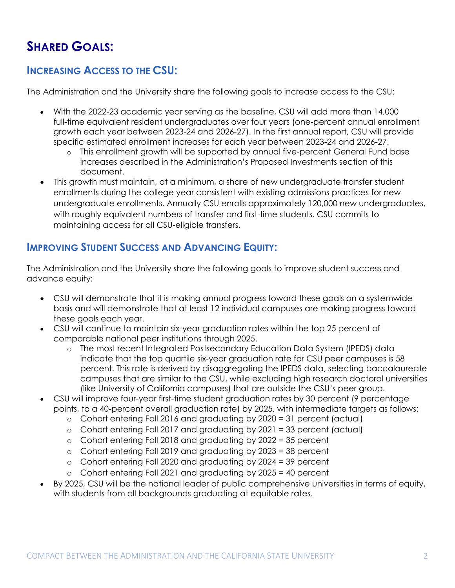# **SHARED GOALS:**

#### **INCREASING ACCESS TO THE CSU:**

The Administration and the University share the following goals to increase access to the CSU:

- With the 2022-23 academic year serving as the baseline, CSU will add more than 14,000 full-time equivalent resident undergraduates over four years (one-percent annual enrollment growth each year between 2023-24 and 2026-27). In the first annual report, CSU will provide specific estimated enrollment increases for each year between 2023-24 and 2026-27.
	- o This enrollment growth will be supported by annual five-percent General Fund base increases described in the Administration's Proposed Investments section of this document.
- This growth must maintain, at a minimum, a share of new undergraduate transfer student enrollments during the college year consistent with existing admissions practices for new undergraduate enrollments. Annually CSU enrolls approximately 120,000 new undergraduates, with roughly equivalent numbers of transfer and first-time students. CSU commits to maintaining access for all CSU-eligible transfers.

#### **IMPROVING STUDENT SUCCESS AND ADVANCING EQUITY:**

The Administration and the University share the following goals to improve student success and advance equity:

- CSU will demonstrate that it is making annual progress toward these goals on a systemwide basis and will demonstrate that at least 12 individual campuses are making progress toward these goals each year.
- CSU will continue to maintain six-year graduation rates within the top 25 percent of comparable national peer institutions through 2025.
	- o The most recent Integrated Postsecondary Education Data System (IPEDS) data indicate that the top quartile six-year graduation rate for CSU peer campuses is 58 percent. This rate is derived by disaggregating the IPEDS data, selecting baccalaureate campuses that are similar to the CSU, while excluding high research doctoral universities (like University of California campuses) that are outside the CSU's peer group.
- CSU will improve four-year first-time student graduation rates by 30 percent (9 percentage points, to a 40-percent overall graduation rate) by 2025, with intermediate targets as follows:
	- o Cohort entering Fall 2016 and graduating by 2020 = 31 percent (actual)
	- o Cohort entering Fall 2017 and graduating by 2021 = 33 percent (actual)
	- o Cohort entering Fall 2018 and graduating by 2022 = 35 percent
	- o Cohort entering Fall 2019 and graduating by 2023 = 38 percent
	- o Cohort entering Fall 2020 and graduating by 2024 = 39 percent
	- o Cohort entering Fall 2021 and graduating by 2025 = 40 percent
- By 2025, CSU will be the national leader of public comprehensive universities in terms of equity, with students from all backgrounds graduating at equitable rates.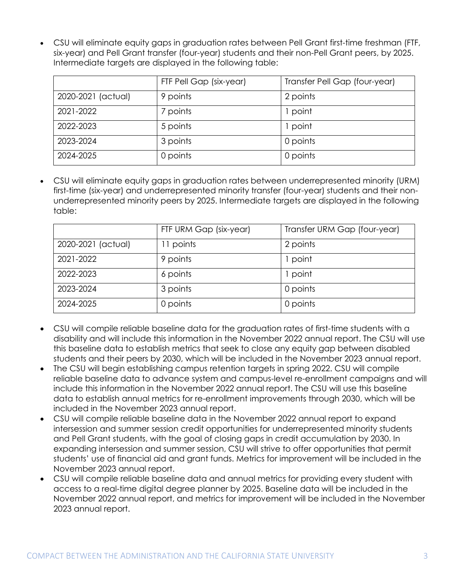CSU will eliminate equity gaps in graduation rates between Pell Grant first-time freshman (FTF, six-year) and Pell Grant transfer (four-year) students and their non-Pell Grant peers, by 2025. Intermediate targets are displayed in the following table:

|                    | FTF Pell Gap (six-year) | Transfer Pell Gap (four-year) |
|--------------------|-------------------------|-------------------------------|
| 2020-2021 (actual) | 9 points                | 2 points                      |
| 2021-2022          | 7 points                | 1 point                       |
| 2022-2023          | 5 points                | 1 point                       |
| 2023-2024          | 3 points                | 0 points                      |
| 2024-2025          | 0 points                | 0 points                      |

 CSU will eliminate equity gaps in graduation rates between underrepresented minority (URM) first-time (six-year) and underrepresented minority transfer (four-year) students and their nonunderrepresented minority peers by 2025. Intermediate targets are displayed in the following table:

|                    | FTF URM Gap (six-year) | Transfer URM Gap (four-year) |
|--------------------|------------------------|------------------------------|
| 2020-2021 (actual) | 11 points              | 2 points                     |
| 2021-2022          | 9 points               | point                        |
| 2022-2023          | 6 points               | point                        |
| 2023-2024          | 3 points               | 0 points                     |
| 2024-2025          | 0 points               | 0 points                     |

- CSU will compile reliable baseline data for the graduation rates of first-time students with a disability and will include this information in the November 2022 annual report. The CSU will use this baseline data to establish metrics that seek to close any equity gap between disabled students and their peers by 2030, which will be included in the November 2023 annual report.
- The CSU will begin establishing campus retention targets in spring 2022. CSU will compile reliable baseline data to advance system and campus-level re-enrollment campaigns and will include this information in the November 2022 annual report. The CSU will use this baseline data to establish annual metrics for re-enrollment improvements through 2030, which will be included in the November 2023 annual report.
- CSU will compile reliable baseline data in the November 2022 annual report to expand intersession and summer session credit opportunities for underrepresented minority students and Pell Grant students, with the goal of closing gaps in credit accumulation by 2030. In expanding intersession and summer session, CSU will strive to offer opportunities that permit students' use of financial aid and grant funds. Metrics for improvement will be included in the November 2023 annual report.
- CSU will compile reliable baseline data and annual metrics for providing every student with access to a real-time digital degree planner by 2025. Baseline data will be included in the November 2022 annual report, and metrics for improvement will be included in the November 2023 annual report.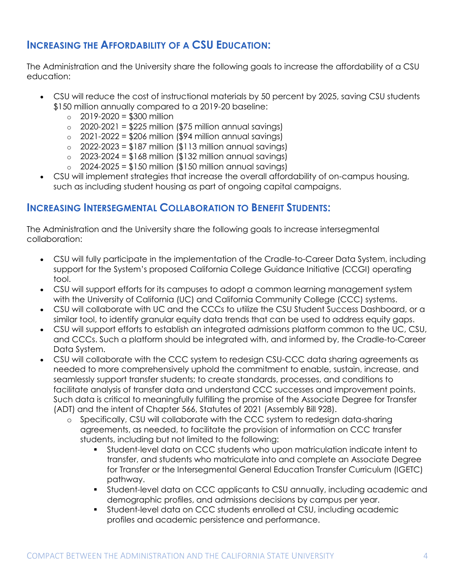#### **INCREASING THE AFFORDABILITY OF A CSU EDUCATION:**

The Administration and the University share the following goals to increase the affordability of a CSU education:

- CSU will reduce the cost of instructional materials by 50 percent by 2025, saving CSU students \$150 million annually compared to a 2019-20 baseline:
	- $\circ$  2019-2020 = \$300 million
	- $\circ$  2020-2021 = \$225 million (\$75 million annual savings)
	- $\circ$  2021-2022 = \$206 million (\$94 million annual savings)
	- $\circ$  2022-2023 = \$187 million (\$113 million annual savings)
	- $\circ$  2023-2024 = \$168 million (\$132 million annual savings)
	- $\circ$  2024-2025 = \$150 million (\$150 million annual savings)
- CSU will implement strategies that increase the overall affordability of on-campus housing, such as including student housing as part of ongoing capital campaigns.

#### **INCREASING INTERSEGMENTAL COLLABORATION TO BENEFIT STUDENTS:**

The Administration and the University share the following goals to increase intersegmental collaboration:

- CSU will fully participate in the implementation of the Cradle-to-Career Data System, including support for the System's proposed California College Guidance Initiative (CCGI) operating tool.
- CSU will support efforts for its campuses to adopt a common learning management system with the University of California (UC) and California Community College (CCC) systems.
- CSU will collaborate with UC and the CCCs to utilize the CSU Student Success Dashboard, or a similar tool, to identify granular equity data trends that can be used to address equity gaps.
- CSU will support efforts to establish an integrated admissions platform common to the UC, CSU, and CCCs. Such a platform should be integrated with, and informed by, the Cradle-to-Career Data System.
- CSU will collaborate with the CCC system to redesign CSU-CCC data sharing agreements as needed to more comprehensively uphold the commitment to enable, sustain, increase, and seamlessly support transfer students; to create standards, processes, and conditions to facilitate analysis of transfer data and understand CCC successes and improvement points. Such data is critical to meaningfully fulfilling the promise of the Associate Degree for Transfer (ADT) and the intent of Chapter 566, Statutes of 2021 (Assembly Bill 928).
	- o Specifically, CSU will collaborate with the CCC system to redesign data-sharing agreements, as needed, to facilitate the provision of information on CCC transfer students, including but not limited to the following:
		- Student-level data on CCC students who upon matriculation indicate intent to transfer, and students who matriculate into and complete an Associate Degree for Transfer or the Intersegmental General Education Transfer Curriculum (IGETC) pathway.
		- Student-level data on CCC applicants to CSU annually, including academic and demographic profiles, and admissions decisions by campus per year.
		- Student-level data on CCC students enrolled at CSU, including academic profiles and academic persistence and performance.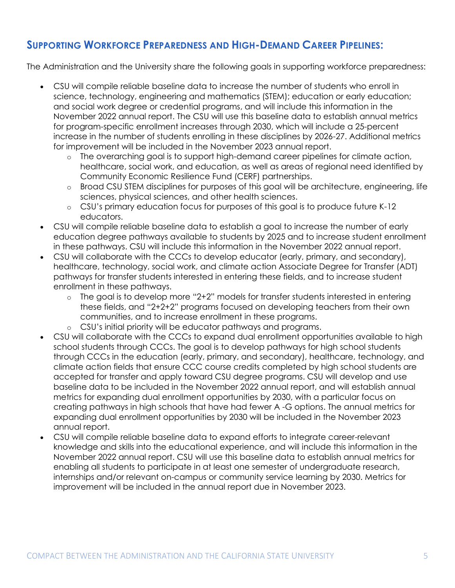#### **SUPPORTING WORKFORCE PREPAREDNESS AND HIGH-DEMAND CAREER PIPELINES:**

The Administration and the University share the following goals in supporting workforce preparedness:

- CSU will compile reliable baseline data to increase the number of students who enroll in science, technology, engineering and mathematics (STEM); education or early education; and social work degree or credential programs, and will include this information in the November 2022 annual report. The CSU will use this baseline data to establish annual metrics for program-specific enrollment increases through 2030, which will include a 25-percent increase in the number of students enrolling in these disciplines by 2026-27. Additional metrics for improvement will be included in the November 2023 annual report.
	- o The overarching goal is to support high-demand career pipelines for climate action, healthcare, social work, and education, as well as areas of regional need identified by Community Economic Resilience Fund (CERF) partnerships.
	- o Broad CSU STEM disciplines for purposes of this goal will be architecture, engineering, life sciences, physical sciences, and other health sciences.
	- o CSU's primary education focus for purposes of this goal is to produce future K-12 educators.
- CSU will compile reliable baseline data to establish a goal to increase the number of early education degree pathways available to students by 2025 and to increase student enrollment in these pathways. CSU will include this information in the November 2022 annual report.
- CSU will collaborate with the CCCs to develop educator (early, primary, and secondary), healthcare, technology, social work, and climate action Associate Degree for Transfer (ADT) pathways for transfer students interested in entering these fields, and to increase student enrollment in these pathways.
	- $\circ$  The goal is to develop more "2+2" models for transfer students interested in entering these fields, and "2+2+2" programs focused on developing teachers from their own communities, and to increase enrollment in these programs.
	- o CSU's initial priority will be educator pathways and programs.
- CSU will collaborate with the CCCs to expand dual enrollment opportunities available to high school students through CCCs. The goal is to develop pathways for high school students through CCCs in the education (early, primary, and secondary), healthcare, technology, and climate action fields that ensure CCC course credits completed by high school students are accepted for transfer and apply toward CSU degree programs. CSU will develop and use baseline data to be included in the November 2022 annual report, and will establish annual metrics for expanding dual enrollment opportunities by 2030, with a particular focus on creating pathways in high schools that have had fewer A -G options. The annual metrics for expanding dual enrollment opportunities by 2030 will be included in the November 2023 annual report.
- CSU will compile reliable baseline data to expand efforts to integrate career-relevant knowledge and skills into the educational experience, and will include this information in the November 2022 annual report. CSU will use this baseline data to establish annual metrics for enabling all students to participate in at least one semester of undergraduate research, internships and/or relevant on-campus or community service learning by 2030. Metrics for improvement will be included in the annual report due in November 2023.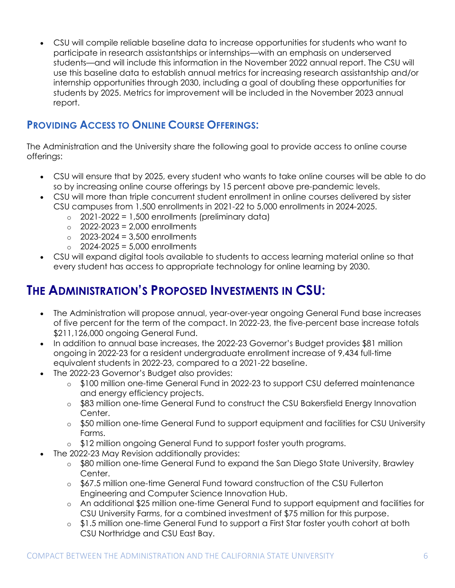CSU will compile reliable baseline data to increase opportunities for students who want to participate in research assistantships or internships—with an emphasis on underserved students—and will include this information in the November 2022 annual report. The CSU will use this baseline data to establish annual metrics for increasing research assistantship and/or internship opportunities through 2030, including a goal of doubling these opportunities for students by 2025. Metrics for improvement will be included in the November 2023 annual report.

#### **PROVIDING ACCESS TO ONLINE COURSE OFFERINGS:**

The Administration and the University share the following goal to provide access to online course offerings:

- CSU will ensure that by 2025, every student who wants to take online courses will be able to do so by increasing online course offerings by 15 percent above pre-pandemic levels.
- CSU will more than triple concurrent student enrollment in online courses delivered by sister CSU campuses from 1,500 enrollments in 2021-22 to 5,000 enrollments in 2024-2025.
	- $\degree$  2021-2022 = 1,500 enrollments (preliminary data)
	- $\degree$  2022-2023 = 2,000 enrollments
	- $\degree$  2023-2024 = 3.500 enrollments
	- $\degree$  2024-2025 = 5,000 enrollments
- CSU will expand digital tools available to students to access learning material online so that every student has access to appropriate technology for online learning by 2030.

# **THE ADMINISTRATION'S PROPOSED INVESTMENTS IN CSU:**

- The Administration will propose annual, year-over-year ongoing General Fund base increases of five percent for the term of the compact. In 2022-23, the five-percent base increase totals \$211,126,000 ongoing General Fund.
- In addition to annual base increases, the 2022-23 Governor's Budget provides \$81 million ongoing in 2022-23 for a resident undergraduate enrollment increase of 9,434 full-time equivalent students in 2022-23, compared to a 2021-22 baseline.
- The 2022-23 Governor's Budget also provides:
	- o \$100 million one-time General Fund in 2022-23 to support CSU deferred maintenance and energy efficiency projects.
	- o \$83 million one-time General Fund to construct the CSU Bakersfield Energy Innovation Center.
	- o \$50 million one-time General Fund to support equipment and facilities for CSU University Farms.
	- o \$12 million ongoing General Fund to support foster youth programs.
- The 2022-23 May Revision additionally provides:
	- o \$80 million one-time General Fund to expand the San Diego State University, Brawley Center.
	- o \$67.5 million one-time General Fund toward construction of the CSU Fullerton Engineering and Computer Science Innovation Hub.
	- o An additional \$25 million one-time General Fund to support equipment and facilities for CSU University Farms, for a combined investment of \$75 million for this purpose.
	- o \$1.5 million one-time General Fund to support a First Star foster youth cohort at both CSU Northridge and CSU East Bay.